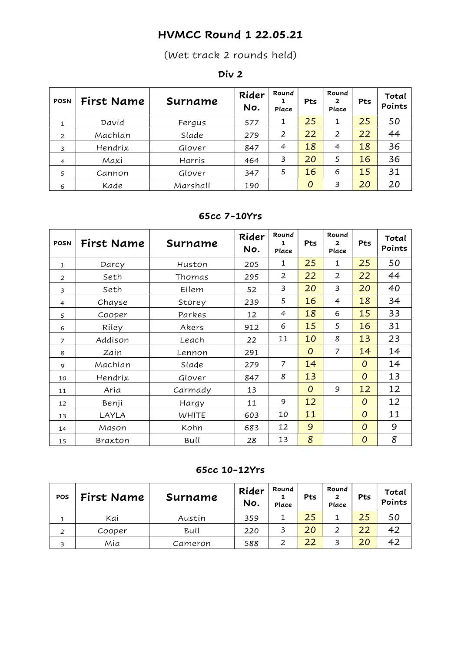## HVMCC Round 1 22.05.21

(Wet track 2 rounds held)

#### Div 2

| <b>POSN</b>    | First Name | Surname  | Rider<br>No. | Round<br>Place | Pts            | Round<br>2<br>Place | Pts | Total<br>Points |
|----------------|------------|----------|--------------|----------------|----------------|---------------------|-----|-----------------|
| 1              | David      | Fergus   | 577          | 1              | 25             | 1                   | 25  | 50              |
| 2              | Machlan    | Slade    | 279          | 2              | 22             | $\overline{2}$      | 22  | 44              |
| 3              | Hendrix    | Glover   | 847          | 4              | 18             | $\overline{4}$      | 18  | 36              |
| $\overline{4}$ | Maxi       | Harris   | 464          | 3              | 20             | 5                   | 16  | 36              |
| 5              | Cannon     | Glover   | 347          | 5              | 16             | 6                   | 15  | 31              |
| 6              | Kade       | Marshall | 190          |                | $\overline{O}$ | 3                   | 20  | 20              |

#### 65cc 7-10Yrs

| <b>POSN</b>    | First Name | Surname      | Rider<br>No. | Round<br>1<br>Place | Pts | Round<br>$\overline{2}$<br>Place | Pts            | Total<br>Points |
|----------------|------------|--------------|--------------|---------------------|-----|----------------------------------|----------------|-----------------|
| $\mathbf{1}$   | Darcy      | Huston       | 205          | 1                   | 25  | 1                                | 25             | 50              |
| $\overline{2}$ | Seth       | Thomas       | 295          | 2                   | 22  | 2                                | 22             | 44              |
| $\overline{3}$ | Seth       | Ellem        | 52           | 3                   | 20  | 3                                | 20             | 40              |
| $\overline{4}$ | Chayse     | Storey       | 239          | 5                   | 16  | 4                                | 18             | 34              |
| 5              | Cooper     | Parkes       | 12           | $\overline{4}$      | 18  | 6                                | 15             | 33              |
| 6              | Riley      | Akers        | 912          | 6                   | 15  | 5                                | 16             | 31              |
| $\overline{7}$ | Addison    | Leach        | 22           | 11                  | 10  | 8                                | 13             | 23              |
| 8              | Zain       | Lennon       | 291          |                     | 0   | 7                                | 14             | 14              |
| 9              | Machlan    | Slade        | 279          | 7                   | 14  |                                  | $\overline{O}$ | 14              |
| 10             | Hendrix    | Glover       | 847          | 8                   | 13  |                                  | $\overline{O}$ | 13              |
| 11             | Aria       | Carmady      | 13           |                     | 0   | 9                                | 12             | 12              |
| 12             | Benji      | Hargy        | 11           | 9                   | 12  |                                  | $\overline{O}$ | 12              |
| 13             | LAYLA      | <b>WHITE</b> | 603          | 10                  | 11  |                                  | $\overline{O}$ | 11              |
| 14             | Mason      | Kohn         | 683          | 12                  | 9   |                                  | $\overline{O}$ | 9               |
| 15             | Braxton    | Bull         | 28           | 13                  | 8   |                                  | $\overline{O}$ | 8               |

65cc 10-12Yrs

| POS | First Name | Surname | Rider<br>No. | Round<br>Place | Pts | Round<br>2<br>Place     | Pts | Total<br>Points |
|-----|------------|---------|--------------|----------------|-----|-------------------------|-----|-----------------|
|     | Kai        | Austin  | 359          |                | 25  |                         | 25  | 50              |
| 2   | Cooper     | Bull    | 220          |                | 20  | ົ                       | 22  |                 |
| 3   | Mia        | Cameron | 588          |                | 22  | $\overline{\mathbf{z}}$ | 20  |                 |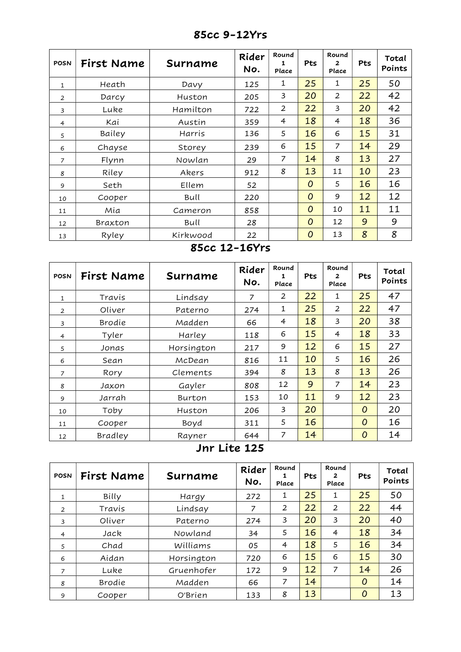| <b>POSN</b>    | First Name | Surname  | Rider<br>No. | Round<br>1<br>Place | Pts            | Round<br>$\mathbf{z}$<br>Place | Pts | Total<br>Points |
|----------------|------------|----------|--------------|---------------------|----------------|--------------------------------|-----|-----------------|
| $\mathbf{1}$   | Heath      | Davy     | 125          | 1                   | 25             | $\mathbf{1}$                   | 25  | 50              |
| $\overline{2}$ | Darcy      | Huston   | 205          | 3                   | 20             | $\overline{2}$                 | 22  | 42              |
| $\overline{3}$ | Luke       | Hamilton | 722          | 2                   | 22             | 3                              | 20  | 42              |
| $\overline{4}$ | Kai        | Austin   | 359          | 4                   | 18             | $\overline{4}$                 | 18  | 36              |
| 5              | Bailey     | Harris   | 136          | 5                   | 16             | 6                              | 15  | 31              |
| 6              | Chayse     | Storey   | 239          | 6                   | 15             | 7                              | 14  | 29              |
| $\overline{7}$ | Flynn      | Nowlan   | 29           | 7                   | 14             | 8                              | 13  | 27              |
| 8              | Riley      | Akers    | 912          | 8                   | 13             | 11                             | 10  | 23              |
| 9              | Seth       | Ellem    | 52           |                     | $\overline{O}$ | 5                              | 16  | 16              |
| 10             | Cooper     | Bull     | 220          |                     | $\overline{O}$ | 9                              | 12  | 12              |
| 11             | Mia        | Cameron  | 858          |                     | $\overline{O}$ | 10                             | 11  | 11              |
| 12             | Braxton    | Bull     | 28           |                     | $\overline{O}$ | 12                             | 9   | 9               |
| 13             | Ryley      | Kirkwood | 22           |                     | 0              | 13                             | 8   | 8               |

85cc 9-12Yrs

#### 85cc 12-16Yrs

| <b>POSN</b>    | First Name | Surname    | Rider<br>No. | Round<br>1<br>Place | Pts | Round<br>$\overline{2}$<br>Place | Pts            | Total<br>Points |
|----------------|------------|------------|--------------|---------------------|-----|----------------------------------|----------------|-----------------|
| 1              | Travis     | Lindsay    | 7            | $\overline{2}$      | 22  | 1                                | 25             | 47              |
| $\overline{2}$ | Oliver     | Paterno    | 274          | 1                   | 25  | 2                                | 22             | 47              |
| 3              | Brodie     | Madden     | 66           | 4                   | 18  | 3                                | 20             | 38              |
| $\overline{4}$ | Tyler      | Harley     | 118          | 6                   | 15  | 4                                | 18             | 33              |
| 5              | Jonas      | Horsington | 217          | 9                   | 12  | 6                                | 15             | 27              |
| 6              | Sean       | McDean     | 816          | 11                  | 10  | 5                                | 16             | 26              |
| $\overline{7}$ | Rory       | Clements   | 394          | 8                   | 13  | 8                                | 13             | 26              |
| 8              | Jaxon      | Gayler     | 808          | 12                  | 9   | $\overline{7}$                   | 14             | 23              |
| 9              | Jarrah     | Burton     | 153          | 10                  | 11  | 9                                | 12             | 23              |
| 10             | Toby       | Huston     | 206          | 3                   | 20  |                                  | $\overline{O}$ | 20              |
| 11             | Cooper     | Boyd       | 311          | 5                   | 16  |                                  | $\overline{O}$ | 16              |
| 12             | Bradley    | Rayner     | 644          | 7                   | 14  |                                  | O              | 14              |

Jnr Lite 125

| <b>POSN</b>    | First Name | Surname    | Rider<br>No. | Round<br>Place | <b>Pts</b> | Round<br>$\mathbf{2}$<br>Place | Pts            | Total<br>Points |
|----------------|------------|------------|--------------|----------------|------------|--------------------------------|----------------|-----------------|
| $\mathbf{1}$   | Billy      | Hargy      | 272          | 1              | 25         | 1                              | 25             | 50              |
| $\overline{2}$ | Travis     | Lindsay    | 7            | 2              | 22         | $\overline{2}$                 | 22             | 44              |
| 3              | Oliver     | Paterno    | 274          | 3              | 20         | 3                              | 20             | 40              |
| $\overline{4}$ | Jack       | Nowland    | 34           | 5              | 16         | 4                              | 18             | 34              |
| 5              | Chad       | Williams   | 05           | 4              | 18         | 5                              | 16             | 34              |
| 6              | Aidan      | Horsington | 720          | 6              | 15         | 6                              | 15             | 30              |
| $\overline{7}$ | Luke       | Gruenhofer | 172          | 9              | 12         | 7                              | 14             | 26              |
| 8              | Brodie     | Madden     | 66           | 7              | 14         |                                | $\overline{O}$ | 14              |
| 9              | Cooper     | O'Brien    | 133          | 8              | 13         |                                | 0              | 13              |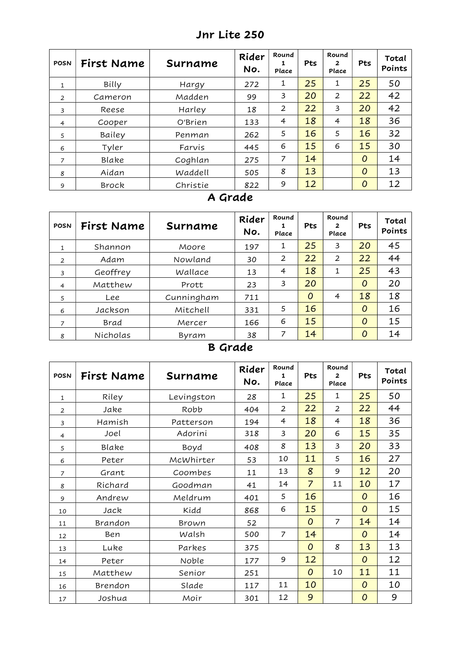| <b>POSN</b>    | First Name | Surname  | Rider<br>No. | Round<br>1<br>Place | Pts | Round<br>$\mathbf{2}$<br>Place | Pts            | Total<br>Points |
|----------------|------------|----------|--------------|---------------------|-----|--------------------------------|----------------|-----------------|
| $\mathbf{1}$   | Billy      | Hargy    | 272          | 1                   | 25  | 1                              | 25             | 50              |
| 2              | Cameron    | Madden   | 99           | 3                   | 20  | 2                              | 22             | 42              |
| 3              | Reese      | Harley   | 18           | $\overline{2}$      | 22  | 3                              | 20             | 42              |
| $\overline{4}$ | Cooper     | O'Brien  | 133          | 4                   | 18  | 4                              | 18             | 36              |
| 5              | Bailey     | Penman   | 262          | 5                   | 16  | 5                              | 16             | 32              |
| 6              | Tyler      | Farvis   | 445          | 6                   | 15  | 6                              | 15             | 30              |
| $\overline{7}$ | Blake      | Coghlan  | 275          | 7                   | 14  |                                | $\overline{O}$ | 14              |
| 8              | Aidan      | Waddell  | 505          | 8                   | 13  |                                | 0              | 13              |
| 9              | Brock      | Christie | 822          | 9                   | 12  |                                | 0              | 12              |

### Jnr Lite 250

#### A Grade

| <b>POSN</b>    | First Name | Surname    | Rider<br>No. | Round<br>Place | Pts            | Round<br>$\mathbf{2}$<br>Place | Pts      | Total<br>Points |
|----------------|------------|------------|--------------|----------------|----------------|--------------------------------|----------|-----------------|
| $\mathbf{1}$   | Shannon    | Moore      | 197          | 1              | 25             | 3                              | 20       | 45              |
| $\overline{2}$ | Adam       | Nowland    | 30           | 2              | 22             | $\overline{2}$                 | 22       | 44              |
| 3              | Geoffrey   | Wallace    | 13           | 4              | 18             | 1                              | 25       | 43              |
| $\overline{4}$ | Matthew    | Prott      | 23           | 3              | 20             |                                | $\Omega$ | 20              |
| 5              | Lee        | Cunningham | 711          |                | $\overline{O}$ | $\overline{4}$                 | 18       | 18              |
| 6              | Jackson    | Mitchell   | 331          | 5              | 16             |                                | $\Omega$ | 16              |
| 7              | Brad       | Mercer     | 166          | 6              | 15             |                                | 0        | 15              |
| 8              | Nicholas   | Byram      | 38           | 7              | 14             |                                | $\Omega$ | 14              |

# B Grade

| <b>POSN</b>    | First Name | Surname    | Rider<br>No. | Round<br>1<br>Place | Pts            | Round<br>$\mathbf{z}$<br>Place | Pts            | Total<br>Points |
|----------------|------------|------------|--------------|---------------------|----------------|--------------------------------|----------------|-----------------|
| 1              | Riley      | Levingston | 28           | 1                   | 25             | 1                              | 25             | 50              |
| 2              | Jake       | Robb       | 404          | 2                   | 22             | 2                              | 22             | 44              |
| $\overline{3}$ | Hamish     | Patterson  | 194          | 4                   | 18             | 4                              | 18             | 36              |
| $\overline{4}$ | Joel       | Adorini    | 318          | 3                   | 20             | 6                              | 15             | 35              |
| 5              | Blake      | Boyd       | 408          | 8                   | 13             | 3                              | 20             | 33              |
| 6              | Peter      | McWhirter  | 53           | 10                  | 11             | 5                              | 16             | 27              |
| $\overline{z}$ | Grant      | Coombes    | 11           | 13                  | 8              | 9                              | 12             | 20              |
| 8              | Richard    | Goodman    | 41           | 14                  | $\overline{7}$ | 11                             | 10             | 17              |
| 9              | Andrew     | Meldrum    | 401          | 5                   | 16             |                                | $\overline{0}$ | 16              |
| 10             | Jack       | Kidd       | 868          | 6                   | 15             |                                | $\overline{O}$ | 15              |
| 11             | Brandon    | Brown      | 52           |                     | $\overline{O}$ | 7                              | 14             | 14              |
| 12             | Ben        | Walsh      | 500          | 7                   | 14             |                                | $\overline{0}$ | 14              |
| 13             | Luke       | Parkes     | 375          |                     | $\overline{O}$ | 8                              | 13             | 13              |
| 14             | Peter      | Noble      | 177          | 9                   | 12             |                                | $\overline{O}$ | 12              |
| 15             | Matthew    | Senior     | 251          |                     | $\overline{O}$ | 10                             | 11             | 11              |
| 16             | Brendon    | Slade      | 117          | 11                  | 10             |                                | $\overline{O}$ | 10              |
| 17             | Joshua     | Moir       | 301          | 12                  | 9              |                                | 0              | 9               |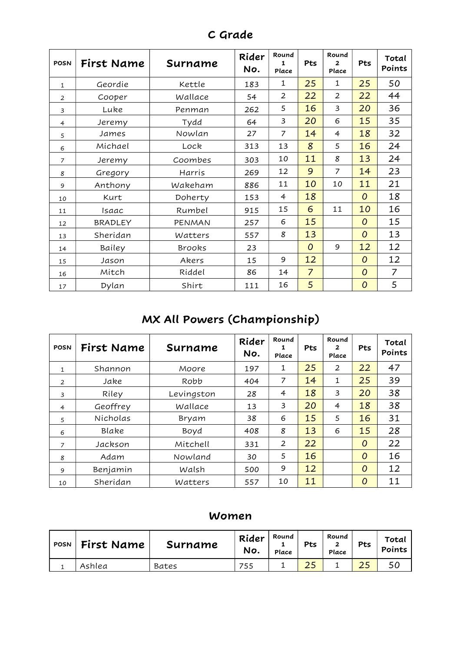| <b>POSN</b>    | First Name     | Surname       | Rider<br>No. | Round<br>1<br>Place | Pts            | Round<br>$\overline{2}$<br>Place | Pts            | Total<br>Points |
|----------------|----------------|---------------|--------------|---------------------|----------------|----------------------------------|----------------|-----------------|
| $\mathbf{1}$   | Geordie        | Kettle        | 183          | 1                   | 25             | 1                                | 25             | 50              |
| $\overline{2}$ | Cooper         | Wallace       | 54           | $\overline{2}$      | 22             | $\overline{2}$                   | 22             | 44              |
| 3              | Luke           | Penman        | 262          | 5                   | 16             | 3                                | 20             | 36              |
| $\overline{4}$ | Jeremy         | Tydd          | 64           | 3                   | 20             | 6                                | 15             | 35              |
| 5              | James          | Nowlan        | 27           | 7                   | 14             | $\overline{4}$                   | 18             | 32              |
| 6              | Michael        | Lock          | 313          | 13                  | 8              | 5                                | 16             | 24              |
| $\overline{7}$ | Jeremy         | Coombes       | 303          | 10                  | 11             | 8                                | 13             | 24              |
| 8              | Gregory        | Harris        | 269          | 12                  | 9              | $\overline{7}$                   | 14             | 23              |
| 9              | Anthony        | Wakeham       | 886          | 11                  | 10             | 10                               | 11             | 21              |
| 10             | Kurt           | Doherty       | 153          | 4                   | 18             |                                  | $\overline{O}$ | 18              |
| 11             | Isaac          | Rumbel        | 915          | 15                  | 6              | 11                               | 10             | 16              |
| 12             | <b>BRADLEY</b> | PENMAN        | 257          | 6                   | 15             |                                  | 0              | 15              |
| 13             | Sheridan       | Watters       | 557          | 8                   | 13             |                                  | 0              | 13              |
| 14             | Bailey         | <b>Brooks</b> | 23           |                     | $\overline{O}$ | 9                                | 12             | 12              |
| 15             | Jason          | Akers         | 15           | 9                   | 12             |                                  | 0              | 12              |
| 16             | Mitch          | Riddel        | 86           | 14                  | $\overline{7}$ |                                  | 0              | $\overline{7}$  |
| 17             | Dylan          | Shirt         | 111          | 16                  | 5              |                                  | 0              | 5               |

C Grade

# MX All Powers (Championship)

| <b>POSN</b>    | First Name | Surname    | Rider<br>No. | Round<br>Place | Pts | Round<br>2<br>Place | Pts            | Total<br>Points |
|----------------|------------|------------|--------------|----------------|-----|---------------------|----------------|-----------------|
| $\mathbf{1}$   | Shannon    | Moore      | 197          | 1              | 25  | 2                   | 22             | 47              |
| 2              | Jake       | Robb       | 404          | 7              | 14  | 1                   | 25             | 39              |
| 3              | Riley      | Levingston | 28           | 4              | 18  | 3                   | 20             | 38              |
| $\overline{4}$ | Geoffrey   | Wallace    | 13           | 3              | 20  | 4                   | 18             | 38              |
| 5              | Nicholas   | Bryam      | 38           | 6              | 15  | 5                   | 16             | 31              |
| 6              | Blake      | Boyd       | 408          | 8              | 13  | 6                   | 15             | 28              |
| $\overline{z}$ | Jackson    | Mitchell   | 331          | 2              | 22  |                     | $\overline{O}$ | 22              |
| 8              | Adam       | Nowland    | 30           | 5              | 16  |                     | $\overline{O}$ | 16              |
| 9              | Benjamin   | Walsh      | 500          | 9              | 12  |                     | $\Omega$       | 12              |
| 10             | Sheridan   | Watters    | 557          | 10             | 11  |                     | $\Omega$       | 11              |

#### Women

| <b>POSN</b> | First Name | Surname      | Rider<br>No. | Round<br>Place | Pts | Round<br>Place | Pts | Total<br>Points |
|-------------|------------|--------------|--------------|----------------|-----|----------------|-----|-----------------|
|             | Ashlea     | <b>Bates</b> | 755          |                | ر ے |                |     | 5C              |